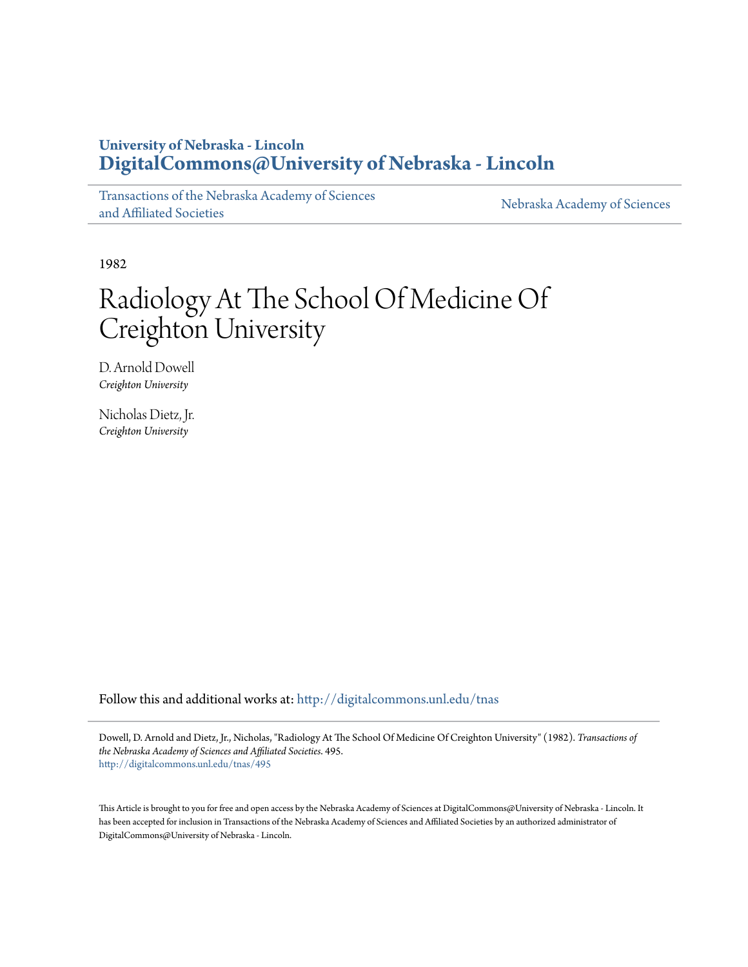## **University of Nebraska - Lincoln [DigitalCommons@University of Nebraska - Lincoln](http://digitalcommons.unl.edu?utm_source=digitalcommons.unl.edu%2Ftnas%2F495&utm_medium=PDF&utm_campaign=PDFCoverPages)**

[Transactions of the Nebraska Academy of Sciences](http://digitalcommons.unl.edu/tnas?utm_source=digitalcommons.unl.edu%2Ftnas%2F495&utm_medium=PDF&utm_campaign=PDFCoverPages) [and Affiliated Societies](http://digitalcommons.unl.edu/tnas?utm_source=digitalcommons.unl.edu%2Ftnas%2F495&utm_medium=PDF&utm_campaign=PDFCoverPages)

[Nebraska Academy of Sciences](http://digitalcommons.unl.edu/nebacadsci?utm_source=digitalcommons.unl.edu%2Ftnas%2F495&utm_medium=PDF&utm_campaign=PDFCoverPages)

1982

# Radiology At The School Of Medicine Of Creighton University

D. Arnold Dowell *Creighton University*

Nicholas Dietz, Jr. *Creighton University*

Follow this and additional works at: [http://digitalcommons.unl.edu/tnas](http://digitalcommons.unl.edu/tnas?utm_source=digitalcommons.unl.edu%2Ftnas%2F495&utm_medium=PDF&utm_campaign=PDFCoverPages)

Dowell, D. Arnold and Dietz, Jr., Nicholas, "Radiology At The School Of Medicine Of Creighton University" (1982). *Transactions of the Nebraska Academy of Sciences and Affiliated Societies*. 495. [http://digitalcommons.unl.edu/tnas/495](http://digitalcommons.unl.edu/tnas/495?utm_source=digitalcommons.unl.edu%2Ftnas%2F495&utm_medium=PDF&utm_campaign=PDFCoverPages)

This Article is brought to you for free and open access by the Nebraska Academy of Sciences at DigitalCommons@University of Nebraska - Lincoln. It has been accepted for inclusion in Transactions of the Nebraska Academy of Sciences and Affiliated Societies by an authorized administrator of DigitalCommons@University of Nebraska - Lincoln.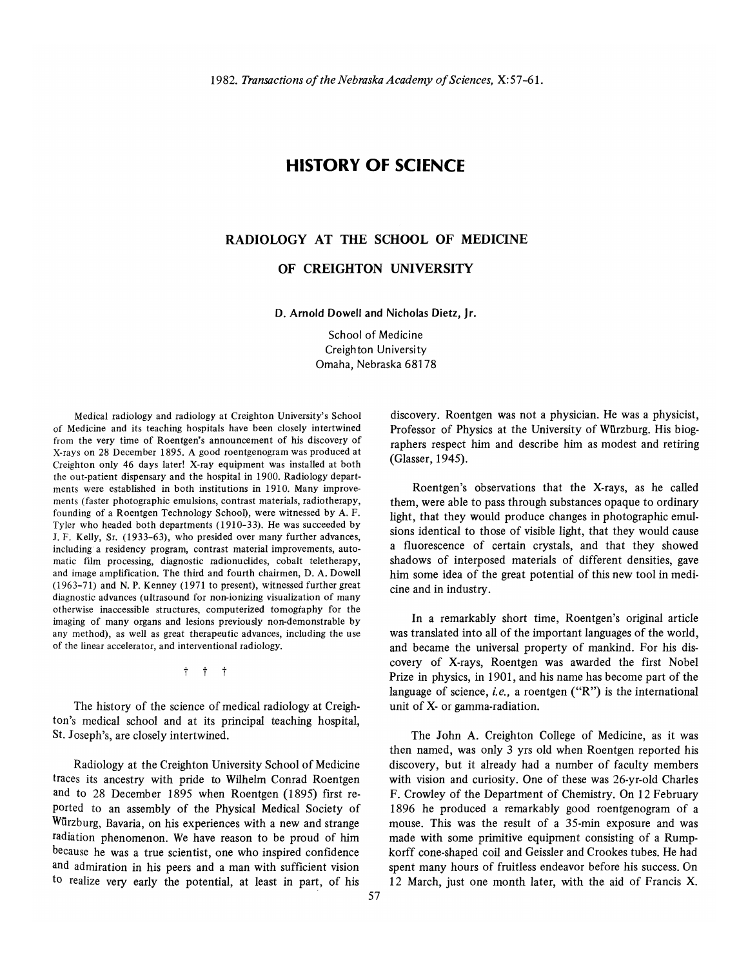### **HISTORY OF SCIENCE**

#### **RADIOLOGY AT THE SCHOOL OF MEDICINE**

#### **OF CREIGHTON UNIVERSITY**

**D. Arnold Dowell and Nicholas Dietz, Jr.** 

School of Medicine Creighton University Omaha, Nebraska 68178

Medical radiology and radiology at Creighton University's School of Medicine and its teaching hospitals have been closely intertwined from the very time of Roentgen's announcement of his discovery of X-rays on 28 December 1895. A good roentgenogram was produced at Creighton only 46 days later! X-ray equipment was installed at both the out-patient dispensary and the hospital in 1900. Radiology departments were established in both institutions in 1910. Many improvements (faster photographic emulsions, contrast materials, radiotherapy, founding of a Roentgen Technology School), were witnessed by A. F. Tyler who headed both departments (1910-33). He was succeeded by 1. F. Kelly, Sr. (1933-63), who presided over many further advances, including a residency program, contrast material improvements, automatic film processing, diagnostic radionuclides, cobalt teletherapy, and image amplification. The third and fourth chairmen, D. A. Dowell (1963-71) and N. P. Kenney (1971 to present), witnessed further great diagnostic advances (ultrasound for non-ionizing visualization of many otherwise inaccessible structures, computerized tomography for the imaging of many organs and lesions previously non-demonstrable by any method), as well as great therapeutic advances, including the use of the linear accelerator, and interventional radiology.

t t t

The history of the science of medical radiology at Creighton's medical school and at its principal teaching hospital, St. Joseph's, are closely intertwined.

Radiology at the Creighton University School of Medicine traces its ancestry with pride to Wilhelm Conrad Roentgen and to 28 December 1895 when Roentgen (1895) first reported to an assembly of the Physical Medical Society of Würzburg, Bavaria, on his experiences with a new and strange radiation phenomenon. We have reason to be proud of him because he was a true scientist, one who inspired confidence and admiration in his peers and a man with sufficient vision to realize very early the potential, at least in part, of his

discovery. Roentgen was not a physician. He was a physicist, Professor of Physics at the University of Wurzburg. His biographers respect him and describe him as modest and retiring (Glasser, 1945).

Roentgen's observations that the X-rays, as he called them, were able to pass through substances opaque to ordinary light, that they would produce changes in photographic emulsions identical to those of visible light, that they would cause a fluorescence of certain crystals, and that they showed shadows of interposed materials of different densities, gave him some idea of the great potential of this new tool in medicine and in industry.

**In** a remarkably short time, Roentgen's original article was translated into all of the important languages of the world, and became the universal property of mankind. For his discovery of X-rays, Roentgen was awarded the first Nobel Prize in physics, in 1901, and his name has become part of the language of science, *i.e.*, a roentgen ("R") is the international unit of X- or gamma-radiation.

The John A. Creighton College of Medicine, as it was then named, was only 3 yrs old when Roentgen reported his discovery, but it already had a number of faculty members with vision and curiosity. One of these was 26-yr-old Charles F. Crowley of the Department of Chemistry. On 12 February 1896 he produced a remarkably good roentgenogram of a mouse. This was the result of a 35-min exposure and was made with some primitive equipment consisting of a Rumpkorff cone-shaped coil and Geissler and Crookes tubes. He had spent many hours of fruitless endeavor before his success. On 12 March, just one month later, with the aid of Francis X.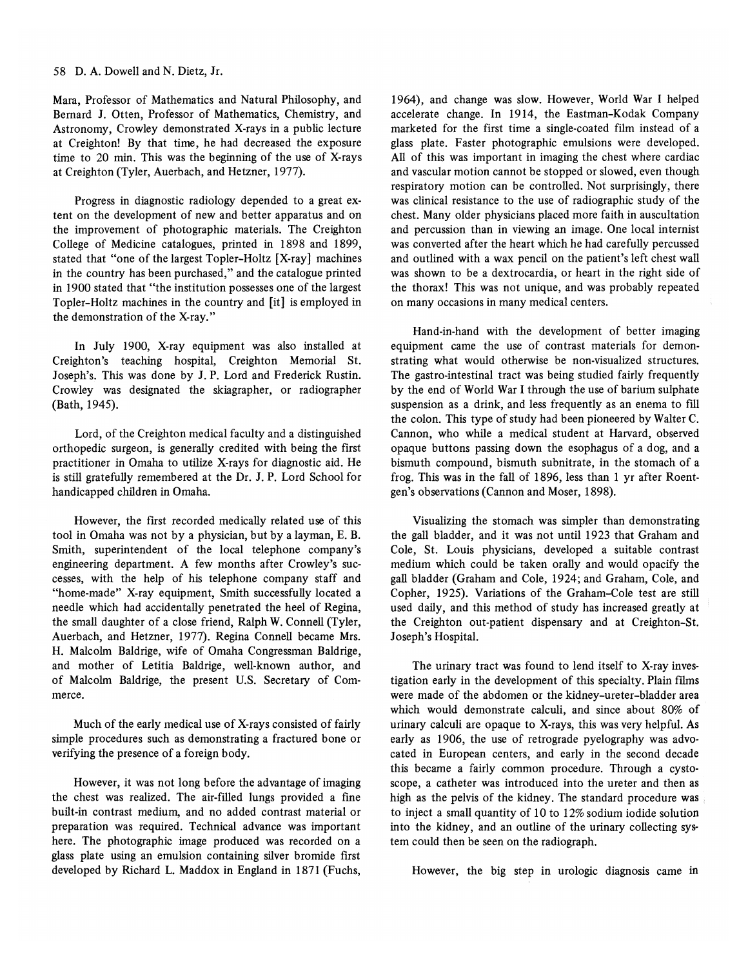#### 58 D. A. Dowell and N. Dietz, Jr.

Mara, Professor of Mathematics and Natural Philosophy, and Bemard J. Otten, Professor of Mathematics, Chemistry, and Astronomy, Crowley demonstrated X-rays in a public lecture at Creighton! By that time, he had decreased the exposure time to 20 min. This was the beginning of the use of X-rays at Creighton (Tyler, Auerbach, and Hetzner, 1977).

Progress in diagnostic radiology depended to a great extent on the development of new and better apparatus and on the improvement of photographic materials. The Creighton College of Medicine catalogues, printed in 1898 and 1899, stated that "one of the largest Topler-Holtz [X-ray] machines in the country has been purchased," and the catalogue printed in 1900 stated that "the institution possesses one of the largest Topler-Holtz machines in the country and [it] is employed in the demonstration of the X-ray."

In July 1900, X-ray equipment was also installed at Creighton's teaching hospital, Creighton Memorial St. Joseph's. This was done by J. P. Lord and Frederick Rustin. Crowley was designated the skiagrapher, or radiographer (Bath, 1945).

Lord, of the Creighton medical faculty and a distinguished orthopedic surgeon, is generally credited with being the first practitioner in Omaha to utilize X-rays for diagnostic aid. He is still gratefully remembered at the Dr. J. P. Lord School for handicapped children in Omaha.

However, the first recorded medically related use of this tool in Omaha was not by a physician, but by a layman, E. B. Smith, superintendent of the local telephone company's engineering department. A few months after Crowley's successes, with the help of his telephone company staff and "home-made" X-ray equipment, Smith successfully located a needle which had accidentally penetrated the heel of Regina, the small daughter of a close friend, Ralph W. Connell (Tyler, Auerbach, and Hetzner, 1977). Regina Connell became Mrs. H. Malcohn Baldrige, wife of Omaha Congressman Baldrige, and mother of Letitia Baldrige, well-known author, and of Malcohn Baldrige, the present *V.S.* Secretary of Commerce.

Much of the early medical use of X-rays consisted of fairly simple procedures such as demonstrating a fractured bone or verifying the presence of a foreign body.

However, it was not long before the advantage of imaging the chest was realized. The air-filled lungs provided a fine built-in contrast medium, and no added contrast material or preparation was required. Technical advance was important here. The photographic image produced was recorded on a glass plate using an emulsion containing silver bromide first developed by Richard L. Maddox in England in 1871 (Fuchs, 1964), and change was slow. However, World War I helped accelerate change. In 1914, the Eastman-Kodak Company marketed for the first time a single-coated film instead of a glass plate. Faster photographic emulsions were developed. All of this was important in imaging the chest where cardiac and vascular motion cannot be stopped or slowed, even though respiratory motion can be controlled. Not surprisingly, there was clinical resistance to the use of radiographic study of the chest. Many older physicians placed more faith in auscultation and percussion than in viewing an image. One local internist was converted after the heart which he had carefully percussed and outlined with a wax pencil on the patient's left chest wall was shown to be a dextrocardia, or heart in the right side of the thorax! This was not unique, and was probably repeated on many occasions in many medical centers.

Hand-in-hand with the development of better imaging equipment came the use of contrast materials for demonstrating what would otherwise be non-visualized structures. The gastro-intestinal tract was being studied fairly frequently by the end of World War I through the use of barium sulphate suspension as a drink, and less frequently as an enema to fill the colon. This type of study had been pioneered by WaIter C. Cannon, who while a medical student at Harvard, observed opaque buttons passing down the esophagus of a dog, and a bismuth compound, bismuth subnitrate, in the stomach of a frog. This was in the fall of 1896, less than 1 yr after Roentgen's observations (Cannon and Moser, 1898).

Visualizing the stomach was simpler than demonstrating the gall bladder, and it was not until 1923 that Graham and Cole, St. Louis physicians, developed a suitable contrast medium which could be taken orally and would opacify the gall bladder (Graham and Cole, 1924; and Graham, Cole, and Copher, 1925). Variations of the Graham-Cole test are still used daily, and this method of study has increased greatly at the Creighton out-patient dispensary and at Creighton-St. Joseph's Hospital.

The urinary tract was found to lend itself to X-ray investigation early in the development of this specialty. Plain films were made of the abdomen or the kidney-ureter-bladder area which would demonstrate calculi, and since about 80% of urinary calculi are opaque to X-rays, this was very helpful. As early as 1906, the use of retrograde pyelography was advocated in European centers, and early in the second decade this became a fairly common procedure. Through a cystoscope, a catheter was introduced into the ureter and then as high as the pelvis of the kidney. The standard procedure was to inject a small quantity of 10 to 12% sodium iodide solution into the kidney, and an outline of the urinary collecting system could then be seen on the radiograph.

However, the big step in urologic diagnosis came in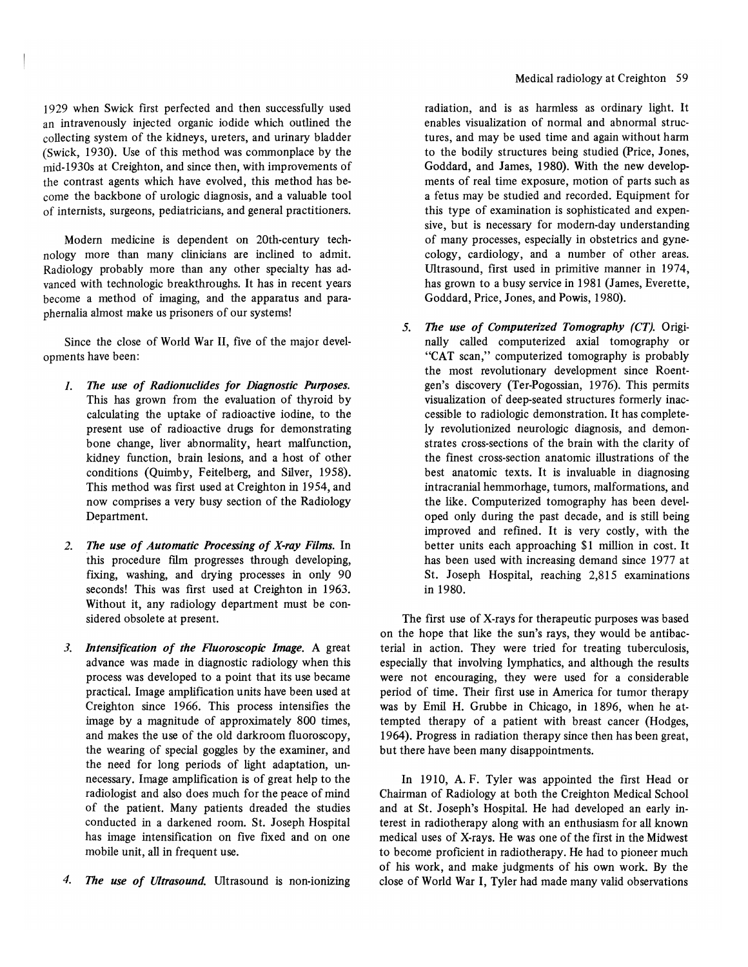1929 when Swick first perfected and then successfully used an intravenously injected organic iodide which outlined the collecting system of the kidneys, ureters, and urinary bladder (Swick, 1930). Use of this method was commonplace by the mid·1930s at Creighton, and since then, with improvements of the contrast agents which have evolved, this method has become the backbone of urologic diagnosis, and a valuable tool of internists, surgeons, pediatricians, and general practitioners.

Modern medicine is dependent on 20th-century technology more than many clinicians are inclined to admit. Radiology probably more than any other specialty has advanced with technologic breakthroughs. It has in recent years become a method of imaging, and the apparatus and paraphernalia almost make us prisoners of our systems!

Since the close of World War 11, five of the major developments have been:

- *1. The use of Radionuclides for Diagnostic Purposes.*  This has grown from the evaluation of thyroid by calculating the uptake of radioactive iodine, to the present use of radioactive drugs for demonstrating bone change, liver abnormality, heart malfunction, kidney function, brain lesions, and a host of other conditions (Quimby, Feitelberg, and Silver, 1958). This method was first used at Creighton in 1954, and now comprises a very busy section of the Radiology Department.
- *2. The use of Automatic Processing of X-ray Films.* In this procedure film progresses through developing, fixing, washing, and drying processes in only 90 seconds! This was first used at Creighton in 1963. Without it, any radiology department must be considered obsolete at present.
- *3. Intensification of the Fluoroscopic Image.* A great advance was made in diagnostic radiology when this process was developed to a point that its use became practical. Image amplification units have been used at Creighton since 1966. This process intensifies the image by a magnitude of approximately 800 times, and makes the use of the old darkroom fluoroscopy, the wearing of special goggles by the examiner, and the need for long periods of light adaptation, unnecessary. Image amplification is of great help to the radiologist and also does much for the peace of mind of the patient. Many patients dreaded the studies conducted in a darkened room. St. Joseph Hospital has image intensification on five fixed and on one mobile unit, all in frequent use.
- *4. The use of Ultrasound.* Ultrasound is non-ionizing

radiation, and is as harmless as ordinary light. It enables visualization of normal and abnormal structures, and may be used time and again without harm to the bodily structures being studied (Price, Jones, Goddard, and James, 1980). With the new developments of real time exposure, motion of parts such as a fetus may be studied and recorded. Equipment for this type of examination is sophisticated and expensive, but is necessary for modern-day understanding of many processes, especially in obstetrics and gynecology, cardiology, and a number of other areas. Ultrasound, first used in primitive manner in 1974, has grown to a busy service in 1981 (James, Everette, Goddard, Price, Jones, and Powis, 1980).

*5. The use of Computerized Tomography (CT).* Originally called computerized axial tomography or "CAT scan," computerized tomography is probably the most revolutionary development since Roentgen's discovery (Ter-Pogossian, 1976). This permits visualization of deep-seated structures formerly inaccessible to radiologic demonstration. It has completely revolutionized neurologic diagnosis, and demonstrates cross-sections of the brain with the clarity of the finest cross-section anatomic illustrations of the best anatomic texts. It is invaluable in diagnosing intracranial hemmorhage, tumors, malformations, and the like. Computerized tomography has been developed only during the past decade, and is still being improved and refined. It is very costly, with the better units each approaching \$1 million in cost. It has been used with increasing demand since 1977 at St. Joseph Hospital, reaching 2,815 examinations in 1980.

The first use of X-rays for therapeutic purposes was based on the hope that like the sun's rays, they would be antibacterial in action. They were tried for treating tuberculosis, especially that involving lymphatics, and although the results were not encouraging, they were used for a considerable period of time. Their first use in America for tumor therapy was by Emil H. Grubbe in Chicago, in 1896, when he attempted therapy of a patient with breast cancer (Hodges, 1964). Progress in radiation therapy since then has been great, but there have been many disappointments.

In 1910, A. F. Tyler was appointed the first Head or Chairman of Radiology at both the Creighton Medical School and at St. Joseph's Hospital. He had developed an early interest in radiotherapy along with an enthusiasm for all known medical uses of X-rays. He was one of the first in the Midwest to become proficient in radiotherapy. He had to pioneer much of his work, and make judgments of his own work. By the close of World War I, Tyler had made many valid observations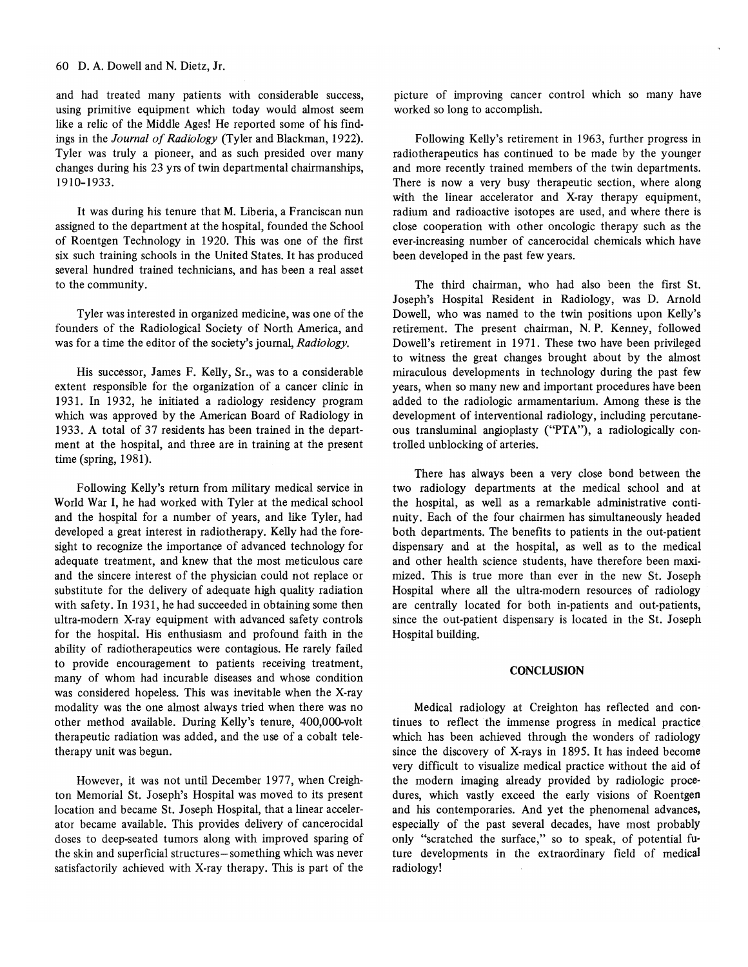and had treated many patients with considerable success, using primitive equipment which today would almost seem like a relic of the Middle Ages! He reported some of his findings in the *Journal of Radiology* (Tyler and Blackman, 1922). Tyler was truly a pioneer, and as such presided over many changes during his 23 yrs of twin departmental chairmanships, 1910-1933.

It was during his tenure that M. Liberia, a Franciscan nun assigned to the department at the hospital, founded the School of Roentgen Technology in 1920. This was one of the first six such training schools in the United States. It has produced several hundred trained technicians, and has been a real asset to the community.

Tyler was interested in organized medicine, was one of the founders of the Radiological Society of North America, and was for a time the editor of the society's journal, *Radiology.* 

His successor, James F. Kelly, Sr., was to a considerable extent responsible for the organization of a cancer clinic in 1931. In 1932, he initiated a radiology residency program which was approved by the American Board of Radiology in 1933. A total of 37 residents has been trained in the department at the hospital, and three are in training at the present time (spring, 1981).

Following Kelly's return from military medical service in World War I, he had worked with Tyler at the medical school and the hospital for a number of years, and like Tyler, had developed a great interest in radiotherapy. Kelly had the foresight to recognize the importance of advanced technology for adequate treatment, and knew that the most meticulous care and the sincere interest of the physician could not replace or substitute for the delivery of adequate high quality radiation with safety. In 1931, he had succeeded in obtaining some then ultra-modern X-ray equipment with advanced safety controls for the hospital. His enthusiasm and profound faith in the ability of radiotherapeutics were contagious. He rarely failed to provide encouragement to patients receiving treatment, many of whom had incurable diseases and whose condition was considered hopeless. This was inevitable when the X-ray modality was the one almost always tried when there was no other method available. During Kelly's tenure, 400,000-volt therapeutic radiation was added, and the use of a cobalt teletherapy unit was begun.

However, it was not until December 1977, when Creighton Memorial St. Joseph's Hospital was moved to its present location and became St. Joseph Hospital, that a linear accelerator became available. This provides delivery of cancerocidal doses to deep-seated tumors along with improved sparing of the skin and superficial structures-something which was never satisfactorily achieved with X-ray therapy. This is part of the

picture of improving cancer control which so many have worked so long to accomplish.

Following Kelly's retirement in 1963, further progress in radiotherapeutics has continued to be made by the younger and more recently trained members of the twin departments. There is now a very busy therapeutic section, where along with the linear accelerator and X-ray therapy equipment, radium and radioactive isotopes are used, and where there is close cooperation with other oncologic therapy such as the ever-increasing number of cancerocidal chemicals which have been developed in the past few years.

The third chairman, who had also been the first St. Joseph's Hospital Resident in Radiology, was D. Arnold Dowell, who was named to the twin positions upon Kelly's retirement. The present chairman, N. P. Kenney, followed Dowell's retirement in 1971. These two have been privileged to witness the great changes brought about by the almost miraculous developments in technology during the past few years, when so many new and important procedures have been added to the radiologic armamentarium. Among these is the development of interventional radiology, including percutaneous transluminal angioplasty ("PTA"), a radiologically controlled unblocking of arteries.

There has always been a very close bond between the two radiology departments at the medical school and at the hospital, as well as a remarkable administrative continuity. Each of the four chairmen has simultaneously headed both departments. The benefits to patients in the out-patient dispensary and at the hospital, as well as to the medical and other health science students, have therefore been maximized. This is true more than ever in the new St. Joseph Hospital where all the ultra-modern resources of radiology are centrally located for both in-patients and out-patients, since the out-patient dispensary is located in the St. Joseph Hospital building.

#### **CONCLUSION**

Medical radiology at Creighton has reflected and continues to reflect the immense progress in medical practice which has been achieved through the wonders of radiology since the discovery of X-rays in 1895. It has indeed become very difficult to visualize medical practice without the aid of the modern imaging already provided by radiologic procedures, which vastly exceed the early visions of Roentgen and his contemporaries. And yet the phenomenal advances, especially of the past several decades, have most probably only "scratched the surface," so to speak, of potential future developments in the extraordinary field of medical radiology!